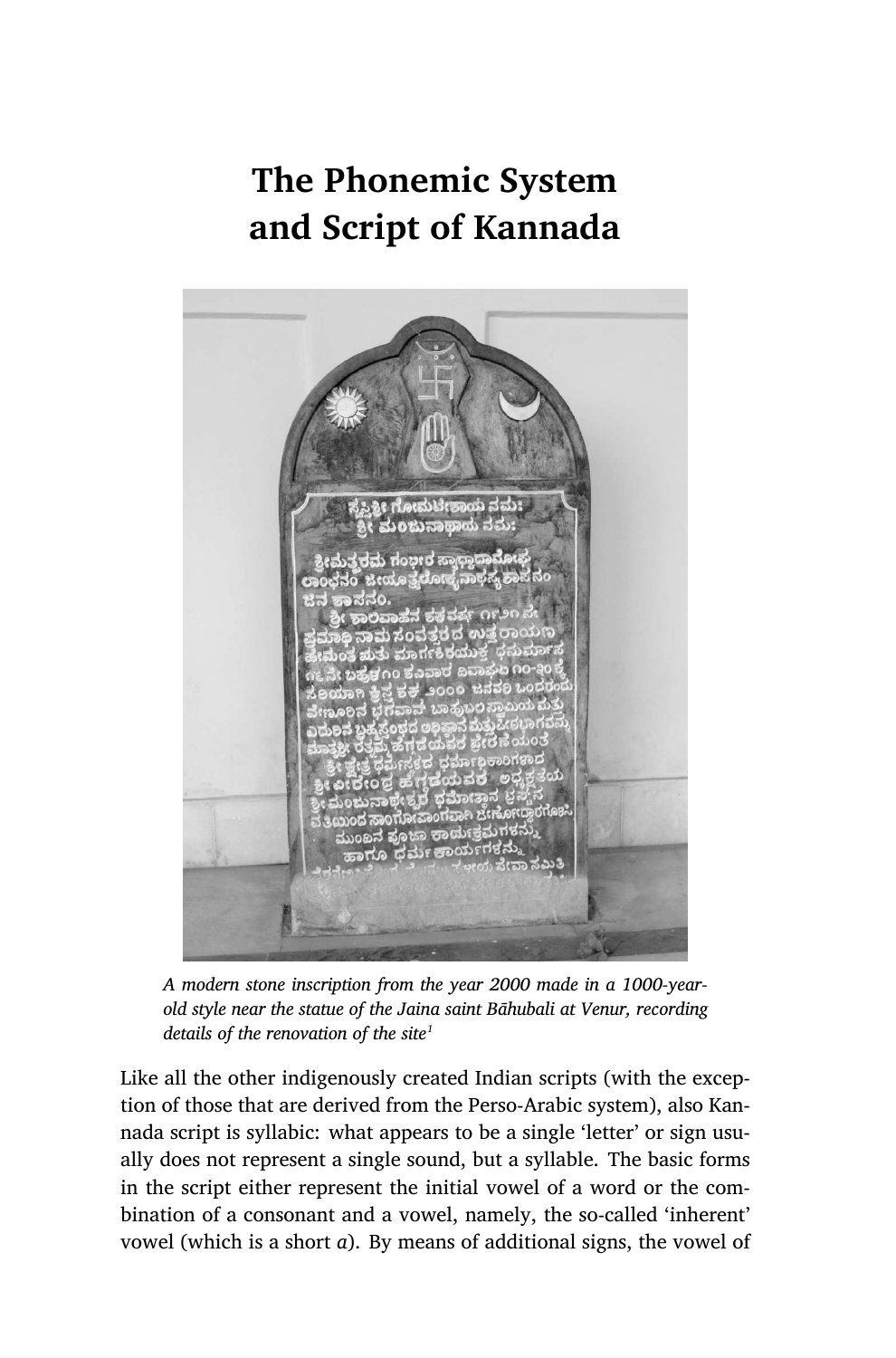# **The Phonemic System and Script of Kannada**



*A modern stone inscription from the year 2000 made in a 1000-yearold style near the statue of the Jaina saint Bāhubali at Venur, recording details of the renovation of the site<sup>1</sup>*

Like all the other indigenously created Indian scripts (with the exception of those that are derived from the Perso-Arabic system), also Kannada script is syllabic: what appears to be a single 'letter' or sign usually does not represent a single sound, but a syllable. The basic forms in the script either represent the initial vowel of a word or the combination of a consonant and a vowel, namely, the so-called 'inherent' vowel (which is a short *a*). By means of additional signs, the vowel of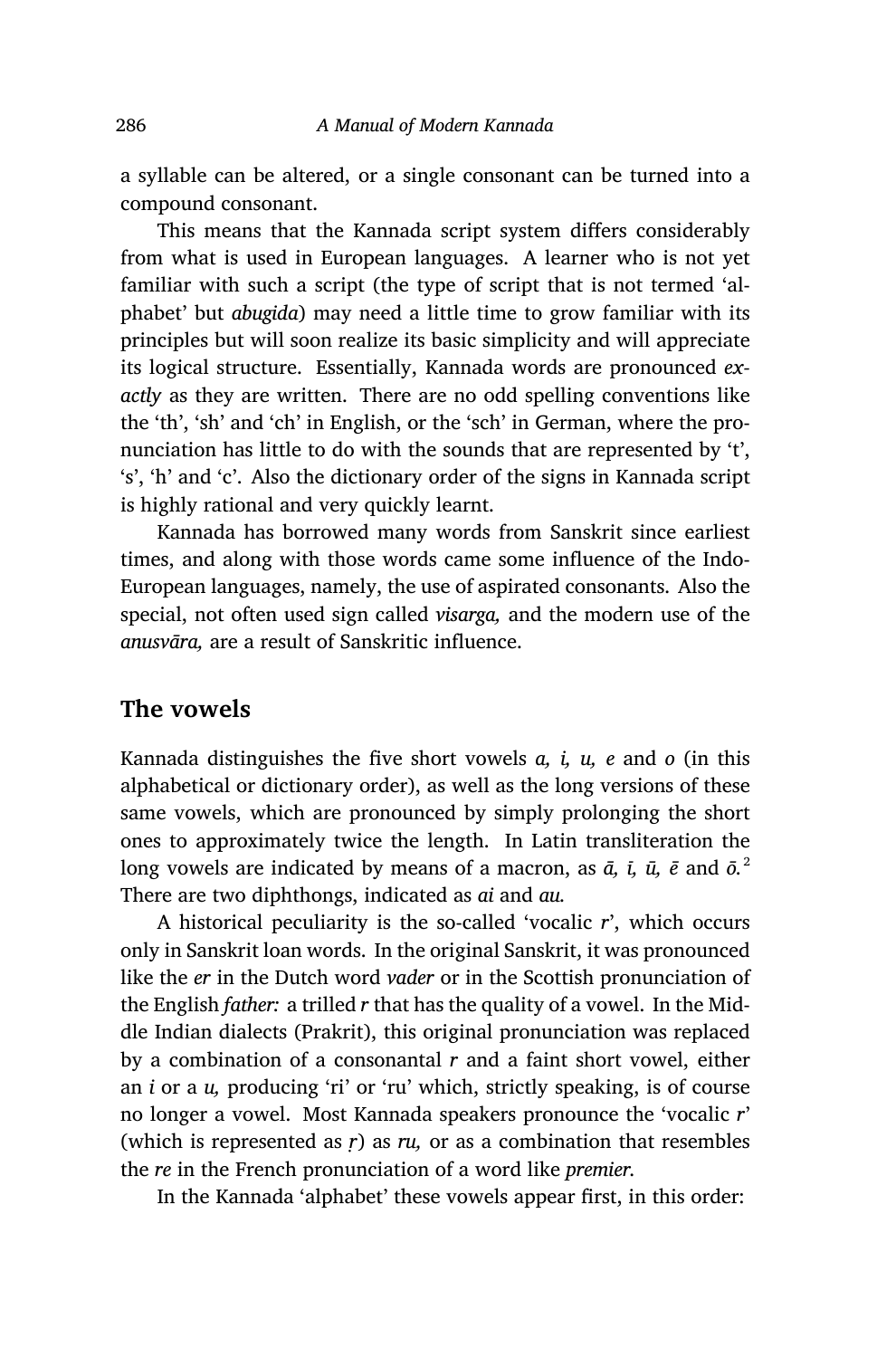a syllable can be altered, or a single consonant can be turned into a compound consonant.

This means that the Kannada script system differs considerably from what is used in European languages. A learner who is not yet familiar with such a script (the type of script that is not termed 'alphabet' but *abugida*) may need a little time to grow familiar with its principles but will soon realize its basic simplicity and will appreciate its logical structure. Essentially, Kannada words are pronounced *exactly* as they are written. There are no odd spelling conventions like the 'th', 'sh' and 'ch' in English, or the 'sch' in German, where the pronunciation has little to do with the sounds that are represented by 't', 's', 'h' and 'c'. Also the dictionary order of the signs in Kannada script is highly rational and very quickly learnt.

Kannada has borrowed many words from Sanskrit since earliest times, and along with those words came some influence of the Indo-European languages, namely, the use of aspirated consonants. Also the special, not often used sign called *visarga,* and the modern use of the *anusvāra,* are a result of Sanskritic influence.

### **The vowels**

Kannada distinguishes the five short vowels *a, i, u, e* and *o* (in this alphabetical or dictionary order), as well as the long versions of these same vowels, which are pronounced by simply prolonging the short ones to approximately twice the length. In Latin transliteration the long vowels are indicated by means of a macron, as *ā, ī, ū, ē* and *ō.*<sup>2</sup> There are two diphthongs, indicated as *ai* and *au.*

A historical peculiarity is the so-called 'vocalic *r*', which occurs only in Sanskrit loan words. In the original Sanskrit, it was pronounced like the *er* in the Dutch word *vader* or in the Scottish pronunciation of the English *father:* a trilled *r* that has the quality of a vowel. In the Middle Indian dialects (Prakrit), this original pronunciation was replaced by a combination of a consonantal *r* and a faint short vowel, either an *i* or a *u,* producing 'ri' or 'ru' which, strictly speaking, is of course no longer a vowel. Most Kannada speakers pronounce the 'vocalic *r*' (which is represented as *ṛ*) as *ru,* or as a combination that resembles the *re* in the French pronunciation of a word like *premier.*

In the Kannada 'alphabet' these vowels appear first, in this order: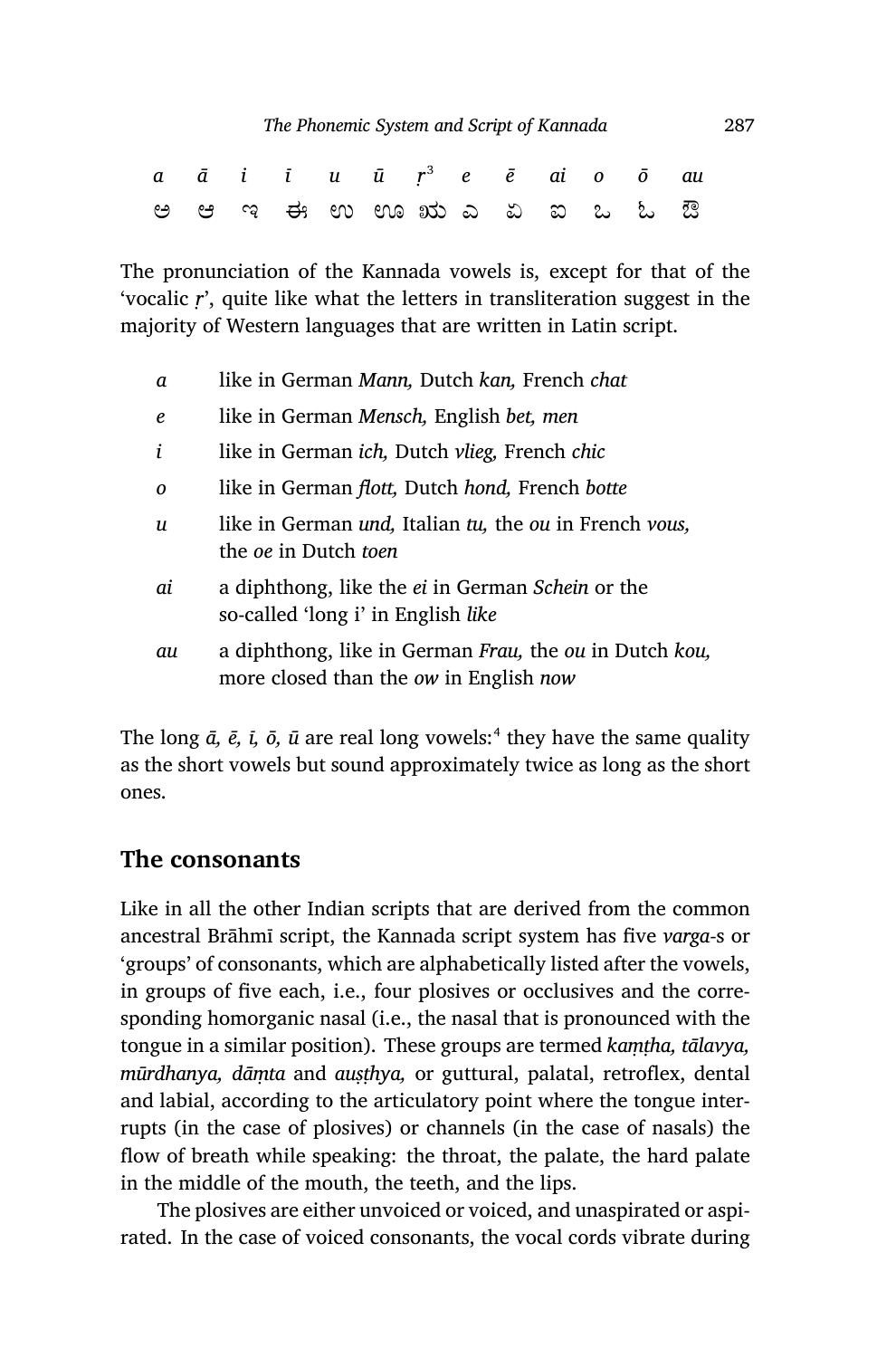|  |  | a ā i ī u ū r <sup>3</sup> e ē ai o ō au |  |  |  |  |
|--|--|------------------------------------------|--|--|--|--|
|  |  | e e q e o o o to do do do do do do       |  |  |  |  |

The pronunciation of the Kannada vowels is, except for that of the 'vocalic *ṛ*', quite like what the letters in transliteration suggest in the majority of Western languages that are written in Latin script.

- *a* like in German *Mann,* Dutch *kan,* French *chat*
- *e* like in German *Mensch,* English *bet, men*
- *i* like in German *ich,* Dutch *vlieg,* French *chic*
- *o* like in German *flott,* Dutch *hond,* French *botte*
- *u* like in German *und,* Italian *tu,* the *ou* in French *vous,* the *oe* in Dutch *toen*
- *ai* a diphthong, like the *ei* in German *Schein* or the so-called 'long i' in English *like*
- *au* a diphthong, like in German *Frau,* the *ou* in Dutch *kou,* more closed than the *ow* in English *now*

The long  $\bar{a}$ ,  $\bar{e}$ ,  $\bar{\iota}$ ,  $\bar{o}$ ,  $\bar{u}$  are real long vowels:<sup>4</sup> they have the same quality as the short vowels but sound approximately twice as long as the short ones.

#### **The consonants**

Like in all the other Indian scripts that are derived from the common ancestral Brāhmī script, the Kannada script system has five *varga-*s or 'groups' of consonants, which are alphabetically listed after the vowels, in groups of five each, i.e., four plosives or occlusives and the corresponding homorganic nasal (i.e., the nasal that is pronounced with the tongue in a similar position). These groups are termed *kaṃṭha, tālavya, mūrdhanya, dāṃta* and *auṣṭhya,* or guttural, palatal, retroflex, dental and labial, according to the articulatory point where the tongue interrupts (in the case of plosives) or channels (in the case of nasals) the flow of breath while speaking: the throat, the palate, the hard palate in the middle of the mouth, the teeth, and the lips.

The plosives are either unvoiced or voiced, and unaspirated or aspirated. In the case of voiced consonants, the vocal cords vibrate during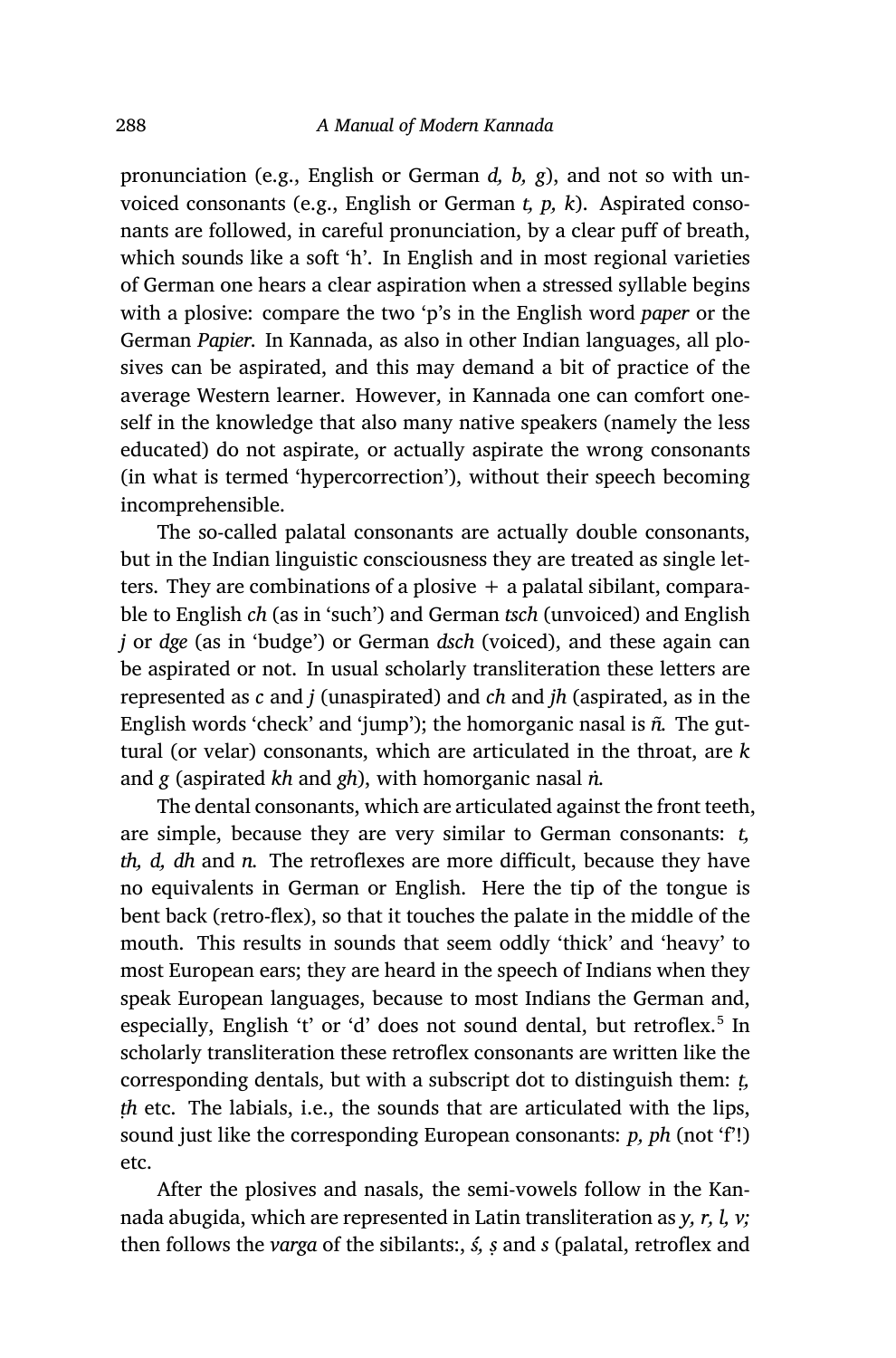pronunciation (e.g., English or German *d, b, g*), and not so with unvoiced consonants (e.g., English or German *t, p, k*). Aspirated consonants are followed, in careful pronunciation, by a clear puff of breath, which sounds like a soft 'h'. In English and in most regional varieties of German one hears a clear aspiration when a stressed syllable begins with a plosive: compare the two 'p's in the English word *paper* or the German *Papier.* In Kannada, as also in other Indian languages, all plosives can be aspirated, and this may demand a bit of practice of the average Western learner. However, in Kannada one can comfort oneself in the knowledge that also many native speakers (namely the less educated) do not aspirate, or actually aspirate the wrong consonants (in what is termed 'hypercorrection'), without their speech becoming incomprehensible.

The so-called palatal consonants are actually double consonants, but in the Indian linguistic consciousness they are treated as single letters. They are combinations of a plosive  $+$  a palatal sibilant, comparable to English *ch* (as in 'such') and German *tsch* (unvoiced) and English *j* or *dge* (as in 'budge') or German *dsch* (voiced), and these again can be aspirated or not. In usual scholarly transliteration these letters are represented as *c* and *j* (unaspirated) and *ch* and *jh* (aspirated, as in the English words 'check' and 'jump'); the homorganic nasal is *ñ.* The guttural (or velar) consonants, which are articulated in the throat, are *k* and *g* (aspirated *kh* and *gh*), with homorganic nasal *ṅ.*

The dental consonants, which are articulated against the front teeth, are simple, because they are very similar to German consonants: *t, th, d, dh* and *n.* The retroflexes are more difficult, because they have no equivalents in German or English. Here the tip of the tongue is bent back (retro-flex), so that it touches the palate in the middle of the mouth. This results in sounds that seem oddly 'thick' and 'heavy' to most European ears; they are heard in the speech of Indians when they speak European languages, because to most Indians the German and, especially, English 't' or 'd' does not sound dental, but retroflex.<sup>5</sup> In scholarly transliteration these retroflex consonants are written like the corresponding dentals, but with a subscript dot to distinguish them: *ṭ, ṭh* etc. The labials, i.e., the sounds that are articulated with the lips, sound just like the corresponding European consonants: *p, ph* (not 'f'!) etc.

After the plosives and nasals, the semi-vowels follow in the Kannada abugida, which are represented in Latin transliteration as *y, r, l, v;* then follows the *varga* of the sibilants:, *ś, ṣ* and *s* (palatal, retroflex and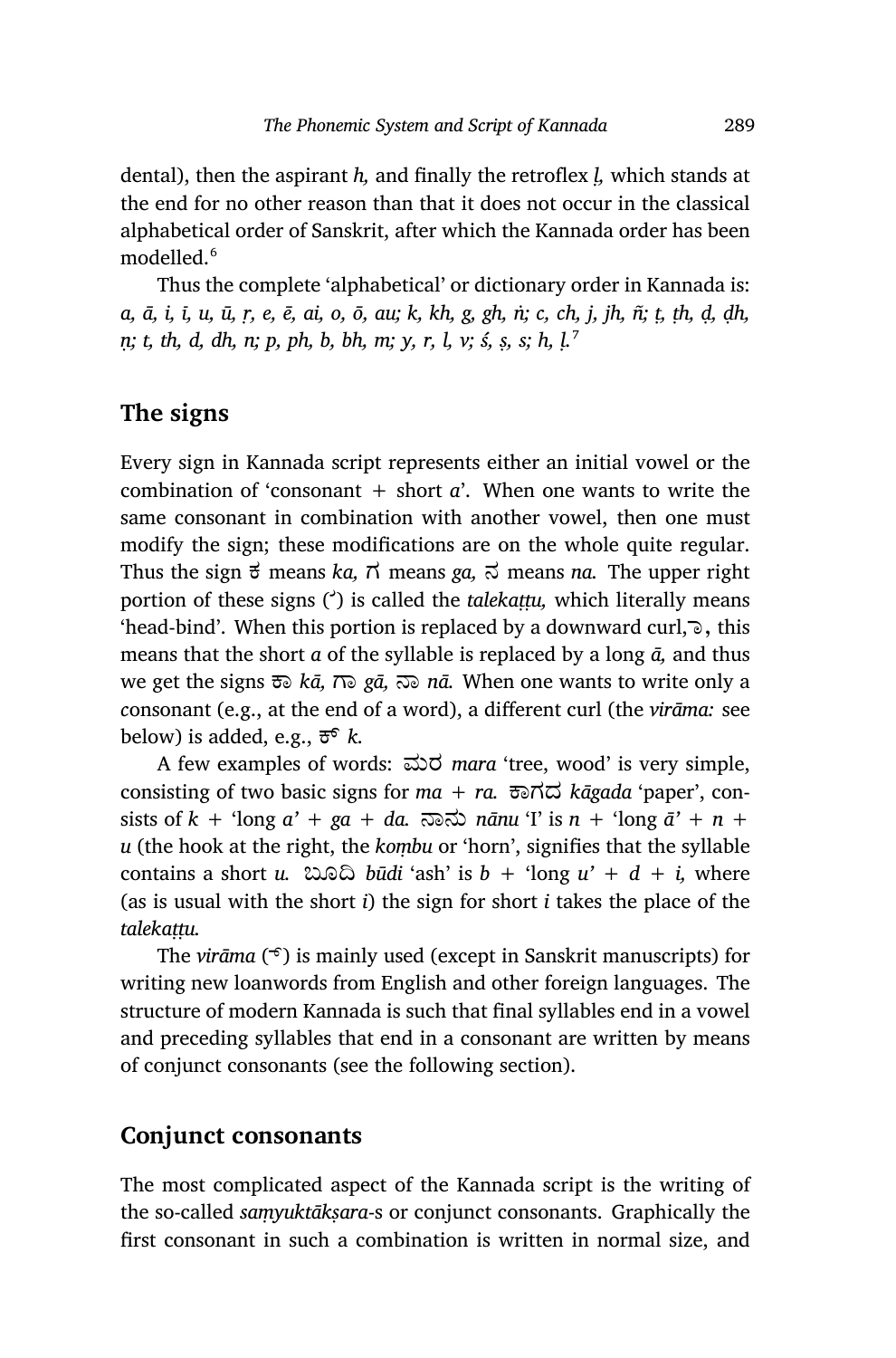dental), then the aspirant *h,* and finally the retroflex *ḷ,* which stands at the end for no other reason than that it does not occur in the classical alphabetical order of Sanskrit, after which the Kannada order has been modelled.<sup>6</sup>

Thus the complete 'alphabetical' or dictionary order in Kannada is: *a, ā, i, ī, u, ū, ṛ, e, ē, ai, o, ō, au; k, kh, g, gh, ṅ; c, ch, j, jh, ñ; ṭ, ṭh, ḍ, ḍh, ṇ; t, th, d, dh, n; p, ph, b, bh, m; y, r, l, v; ś, ṣ, s; h, ḷ.*<sup>7</sup>

## **The signs**

Every sign in Kannada script represents either an initial vowel or the combination of 'consonant  $+$  short  $a'$ . When one wants to write the same consonant in combination with another vowel, then one must modify the sign; these modifications are on the whole quite regular. Thus the sign  $\vec{\sigma}$  means *ka*,  $\vec{\tau}$  means *ga*,  $\vec{\sigma}$  means *na*. The upper right portion of these signs ( $\dot{\phantom{a}}$ ) is called the *talekattu*, which literally means 'head-bind'. When this portion is replaced by a downward curl, ಾ, this means that the short *a* of the syllable is replaced by a long *ā,* and thus we get the signs ಾ *kā,* ಾ *gā,* ಾ *nā.* When one wants to write only a *c*onsonant (e.g., at the end of a word), a different curl (the *virāma:* see below) is added, e.g.,  $\overline{\sigma}^6$  *k.* 

A few examples of words: ಮರ *mara* 'tree, wood' is very simple, consisting of two basic signs for  $ma + ra$ .  $\overline{co} \overline{d}$  *kāgada* 'paper', consists of  $k +$  'long  $a' + ga + da$ .  $\overline{\infty}$   $\overline{\infty}$   $\overline{\infty}$   $\overline{\infty}$   $\overline{\infty}$   $\overline{\infty}$   $\overline{\infty}$   $\overline{\infty}$   $\overline{\infty}$   $\overline{\infty}$   $\overline{\infty}$   $\overline{\infty}$   $\overline{\infty}$   $\overline{\infty}$   $\overline{\infty}$   $\overline{\infty}$   $\overline{\infty}$   $\overline{\infty}$   $\overline{\infty}$  *u* (the hook at the right, the *koṃbu* or 'horn', signifies that the syllable contains a short *u*.  $\cos \theta$  *būdi* 'ash' is  $b + \sin \theta$  *u'* +  $d + i$ , where (as is usual with the short *i*) the sign for short *i* takes the place of the *talekaṭṭu.*

The *virāma* ( $\widehat{\sigma}$ ) is mainly used (except in Sanskrit manuscripts) for writing new loanwords from English and other foreign languages. The structure of modern Kannada is such that final syllables end in a vowel and preceding syllables that end in a consonant are written by means of conjunct consonants (see the following section).

#### **Conjunct consonants**

The most complicated aspect of the Kannada script is the writing of the so-called *saṃyuktākṣara*-s or conjunct consonants. Graphically the first consonant in such a combination is written in normal size, and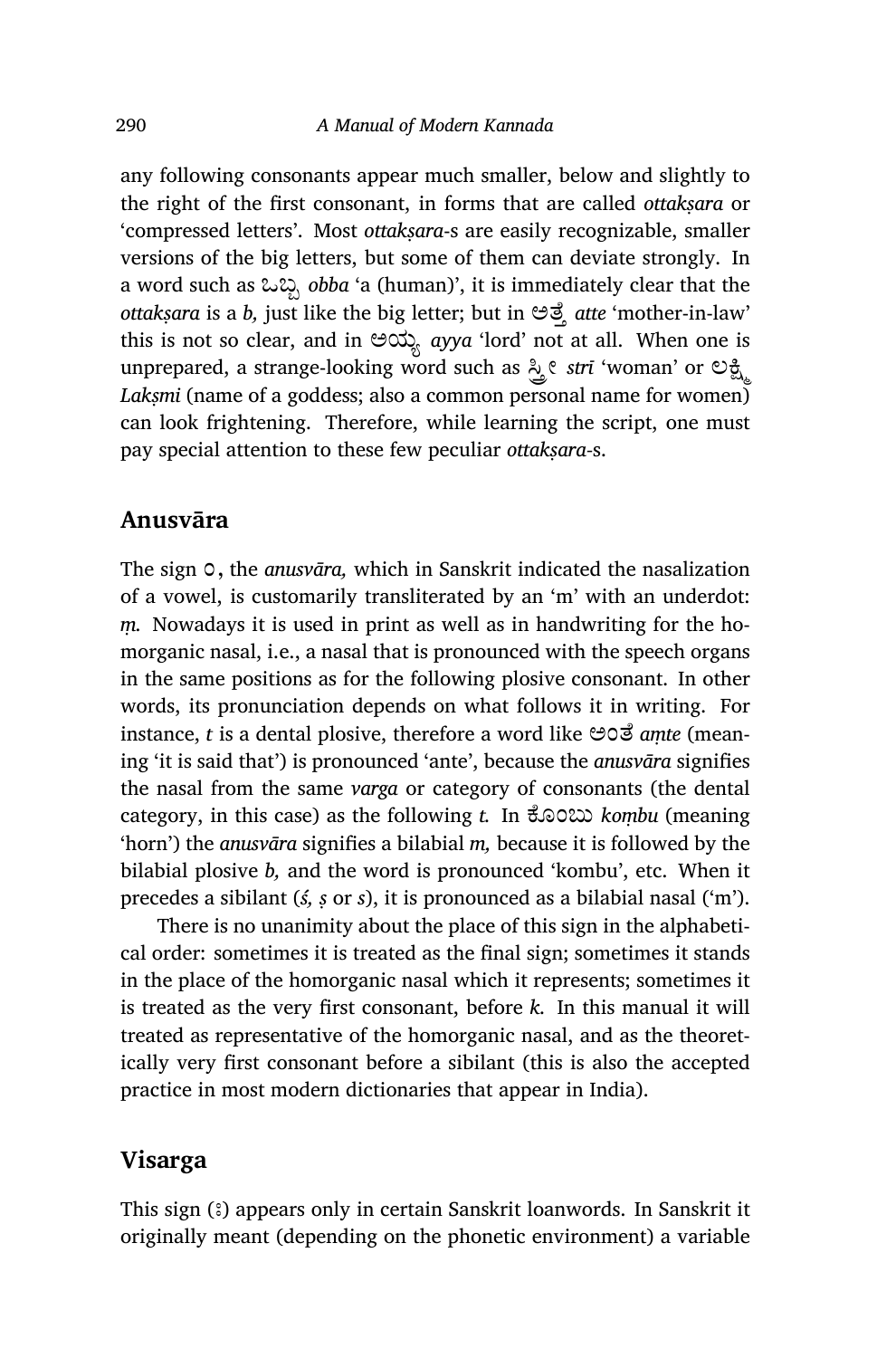any following consonants appear much smaller, below and slightly to the right of the first consonant, in forms that are called *ottakṣara* or 'compressed letters'. Most *ottakṣara*-s are easily recognizable, smaller versions of the big letters, but some of them can deviate strongly. In a word such as ಒಬ್ಬ *obba* 'a (human)', it is immediately clear that the *ottakṣara* is a *b,* just like the big letter; but in ಅೆ³ *atte* 'mother-in-law' this is not so clear, and in ಅಯ½ *ayya* 'lord' not at all. When one is unprepared, a strange-looking word such as  $\frac{3}{4}$ *e strī* 'woman' or  $\mathfrak{S}_{\mathfrak{A}}$ Laksmi (name of a goddess; also a common personal name for women) can look frightening. Therefore, while learning the script, one must pay special attention to these few peculiar *ottakṣara‑*s.

#### **Anusvāra**

The sign  $\circ$ , the *anusvāra*, which in Sanskrit indicated the nasalization of a vowel, is customarily transliterated by an 'm' with an underdot: *ṃ.* Nowadays it is used in print as well as in handwriting for the homorganic nasal, i.e., a nasal that is pronounced with the speech organs in the same positions as for the following plosive consonant. In other words, its pronunciation depends on what follows it in writing. For instance, *t* is a dental plosive, therefore a word like **⊖**oo *amte* (meaning 'it is said that') is pronounced 'ante', because the *anusvāra* signifies the nasal from the same *varga* or category of consonants (the dental category, in this case) as the following *t*. In  $\text{\textsterling}$  600200 *kombu* (meaning 'horn') the *anusvāra* signifies a bilabial *m,* because it is followed by the bilabial plosive *b,* and the word is pronounced 'kombu', etc. When it precedes a sibilant (*ś, ṣ* or *s*), it is pronounced as a bilabial nasal ('m').

There is no unanimity about the place of this sign in the alphabetical order: sometimes it is treated as the final sign; sometimes it stands in the place of the homorganic nasal which it represents; sometimes it is treated as the very first consonant, before *k.* In this manual it will treated as representative of the homorganic nasal, and as the theoretically very first consonant before a sibilant (this is also the accepted practice in most modern dictionaries that appear in India).

#### **Visarga**

This sign (ಃ) appears only in certain Sanskrit loanwords. In Sanskrit it originally meant (depending on the phonetic environment) a variable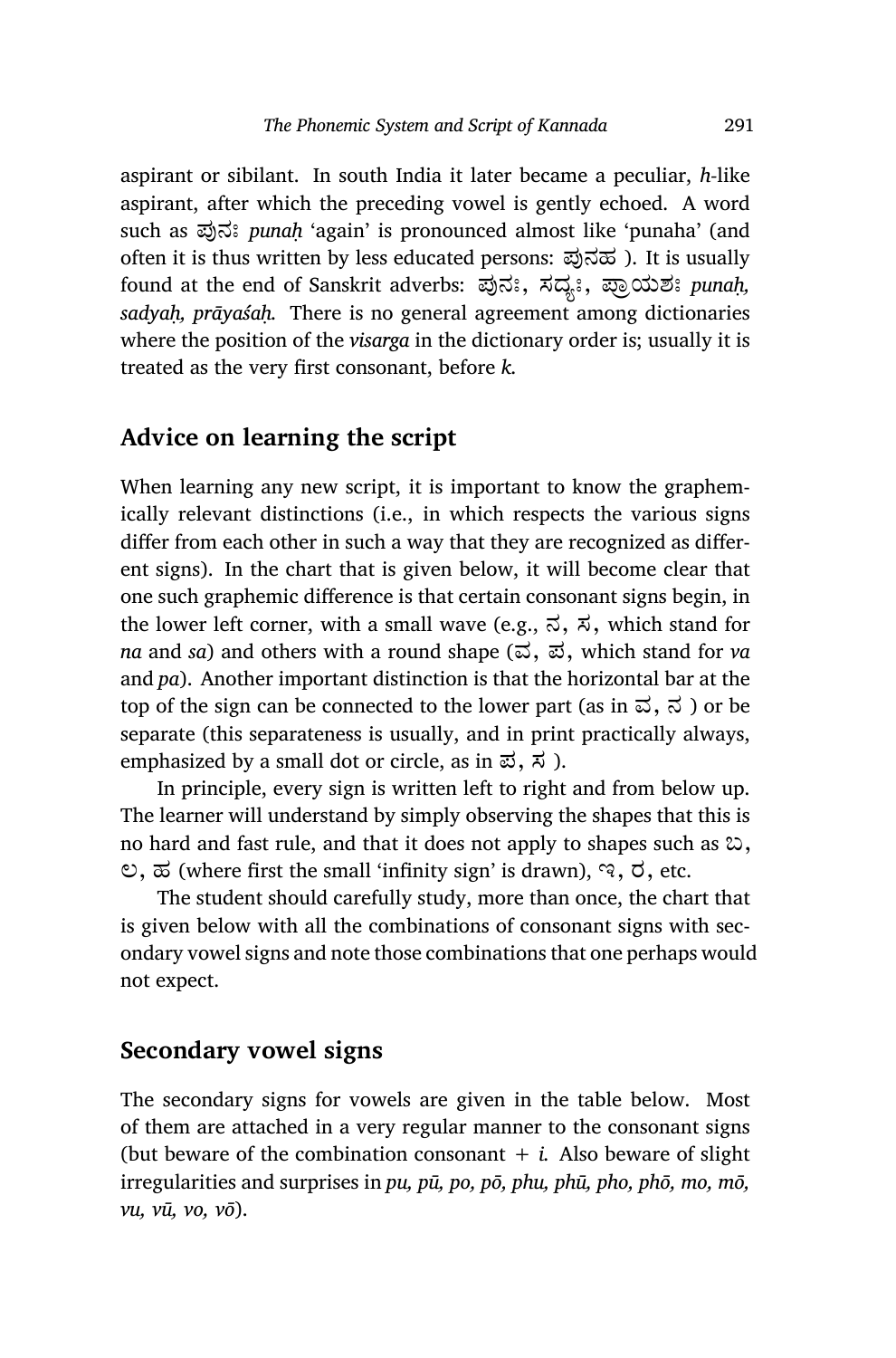aspirant or sibilant. In south India it later became a peculiar, *h-*like aspirant, after which the preceding vowel is gently echoed. A word such as ಪುನಃ *punah* 'again' is pronounced almost like 'punaha' (and often it is thus written by less educated persons: ಪುನಹ). It is usually found at the end of Sanskrit adverbs: ಪುನಃ, ಸದ್ಯಃ, ಪ್ರಾಯಶಃ punah, *sadyaḥ, prāyaśaḥ.* There is no general agreement among dictionaries where the position of the *visarga* in the dictionary order is; usually it is treated as the very first consonant, before *k.*

## **Advice on learning the script**

When learning any new script, it is important to know the graphemically relevant distinctions (i.e., in which respects the various signs differ from each other in such a way that they are recognized as different signs). In the chart that is given below, it will become clear that one such graphemic difference is that certain consonant signs begin, in the lower left corner, with a small wave (e.g.,  $\vec{\lambda}$ ,  $\vec{\lambda}$ , which stand for *na* and *sa*) and others with a round shape (ವ, ಪ, which stand for *va* and *pa*). Another important distinction is that the horizontal bar at the top of the sign can be connected to the lower part (as in  $\vec{\omega}$ ,  $\vec{\omega}$ ) or be separate (this separateness is usually, and in print practically always, emphasized by a small dot or circle, as in  $\vec{\omega}$ ,  $\vec{\lambda}$ ).

In principle, every sign is written left to right and from below up. The learner will understand by simply observing the shapes that this is no hard and fast rule, and that it does not apply to shapes such as ಬ,  $\mathcal{O}, \mathcal{D}$  (where first the small 'infinity sign' is drawn),  $\mathcal{A}, \mathcal{D}, \text{etc.}$ 

The student should carefully study, more than once, the chart that is given below with all the combinations of consonant signs with secondary vowel signs and note those combinations that one perhaps would not expect.

## **Secondary vowel signs**

The secondary signs for vowels are given in the table below. Most of them are attached in a very regular manner to the consonant signs (but beware of the combination consonant  $+ i$ . Also beware of slight irregularities and surprises in *pu, pū, po, pō, phu, phū, pho, phō, mo, mō, vu, vū, vo, vō*).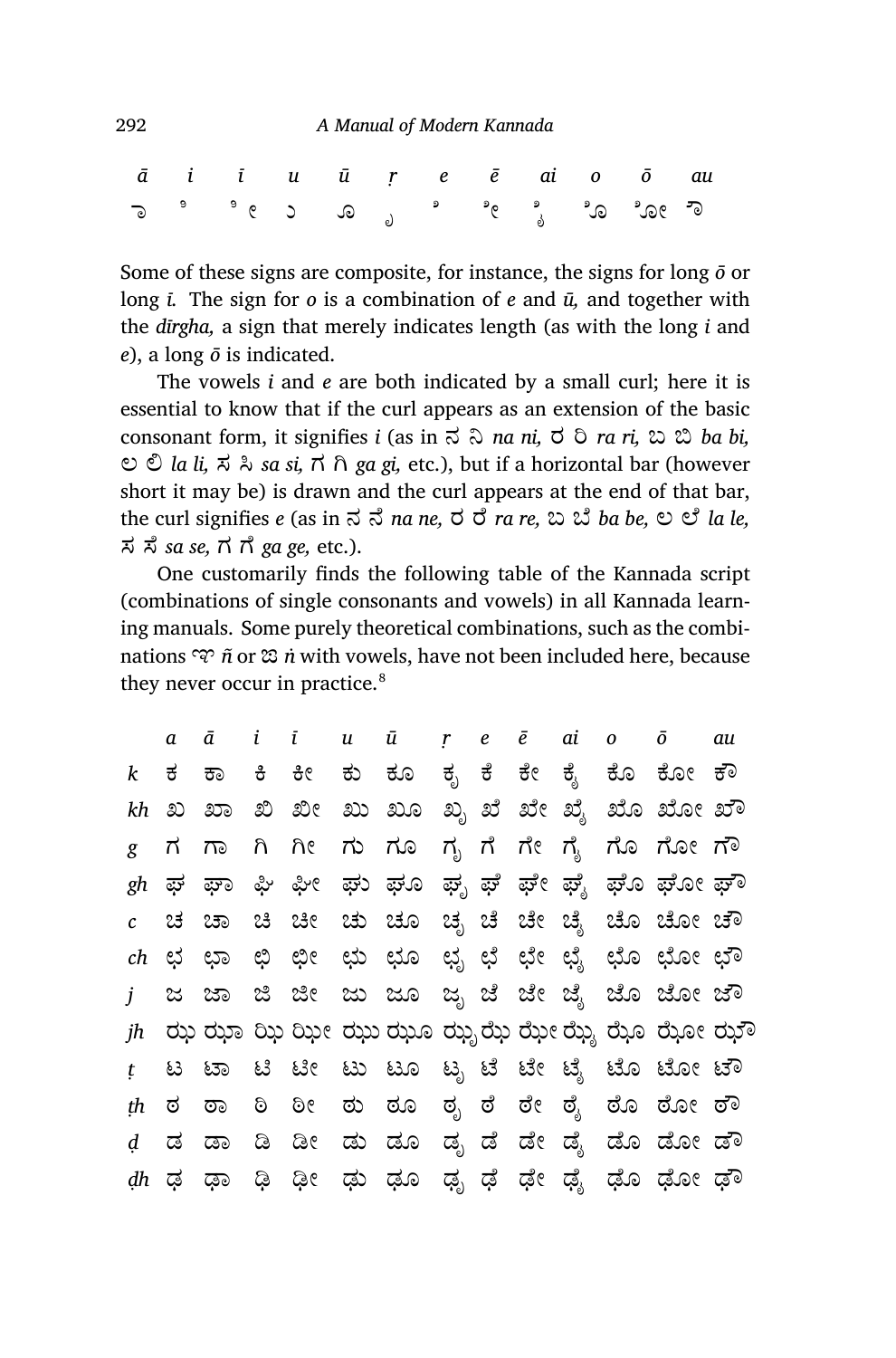|  | $\bar{a}$ i i u $\bar{u}$ $\bar{r}$ e $\bar{e}$ ai o $\bar{o}$ au |  |  |  |  |  |
|--|-------------------------------------------------------------------|--|--|--|--|--|
|  |                                                                   |  |  |  |  |  |

Some of these signs are composite, for instance, the signs for long *ō* or long *ī.* The sign for *o* is a combination of *e* and *ū,* and together with the *dīrgha,* a sign that merely indicates length (as with the long *i* and *e*), a long *ō* is indicated.

The vowels *i* and *e* are both indicated by a small curl; here it is essential to know that if the curl appears as an extension of the basic consonant form, it signifies *i* (as in  $\vec{\sigma}$   $\vec{\sigma}$  *na ni*,  $\vec{\sigma}$   $\vec{\sigma}$  *ra ri*,  $\vec{\omega}$   $\vec{\omega}$  *ba bi*, ಲ ĩ *la li,* ಸ Į *sa si,* ಗ Ć *ga gi,* etc.), but if a horizontal bar (however short it may be) is drawn and the curl appears at the end of that bar, the curl signifies *e* (as in  $\vec{\sigma}$   $\vec{\sigma}$  *na ne*,  $\vec{\sigma}$   $\vec{\sigma}$  *ra re*,  $\vec{\omega}$   $\vec{\omega}$  *ba be*,  $\vec{\omega}$   $\vec{\omega}$  *la le*, ಸ ¡ೆ *sa se,* ಗ ೆ *ga ge,* etc.).

One customarily finds the following table of the Kannada script (combinations of single consonants and vowels) in all Kannada learning manuals. Some purely theoretical combinations, such as the combinations ಞ *ñ* or ಙ *ṅ* with vowels, have not been included here, because they never occur in practice.<sup>8</sup>

|                  | a      |    |  | $\bar{a}$ i i u $\bar{u}$ $\bar{r}$ e $\bar{e}$ ai o $\bar{o}$ |  |  |                                             | au |
|------------------|--------|----|--|----------------------------------------------------------------|--|--|---------------------------------------------|----|
| $\boldsymbol{k}$ | ಕ      |    |  |                                                                |  |  | ಕಾ ಕಿ ಕೀ ಕು ಕೂ ಕೃ ಕೆ ಕೇ ಕೈ ಕೊ ಕೋ ಕೌ         |    |
|                  |        |    |  |                                                                |  |  | kh ಖ ಖಾ ಖಿ ಖೀ ಖು ಖೂ ಖೃ ಖೆ ಖೇ ಖೈ ಖೊ ಖೋ ಖೌ    |    |
| g                |        |    |  |                                                                |  |  | ಗ ಗಾ ಗಿ ಗೀ ಗು ಗೂ ಗೃಗೆ ಗೇ ಗೈ ಗೊ ಗೋ ಗೌ        |    |
|                  |        |    |  |                                                                |  |  | $gh$ ಫ್ ಫಾ ಫಿ ಫೀ ಫು ಫೂ ಫೃ ಫ ಫೕ ಫೃೆ ಫೋ ಫೊ ಫೋ |    |
|                  |        |    |  |                                                                |  |  | $c$ ಚ ಚಾ ಚಿ ಚೀ ಚು ಚೂ ಚೃ ಚೆ ಚೇ ಚೈ ಚೊ ಚೋ ಚೌ   |    |
|                  |        |    |  |                                                                |  |  | $ch$ ಛ ಛಾ ಛಿ ಛೀ ಛು ಛೂ ಛೃ ಛೆ ಛೇ ಛೈ ಛೊ ಛೋ ಛೌ  |    |
|                  |        |    |  |                                                                |  |  | j ಜ ಜಾ ಜಿ ಜೀ ಜು ಜೂ ಜೃ ಜೆ ಜೇ ಜೈ ಜೊ ಜೋ ಜೌ     |    |
|                  |        |    |  |                                                                |  |  | $jh$ ರು ರುಾ ಝಿ ಝೀ ಝು ಝೂ ಝೃಝೆ ಝೇ ಝೈ ಝೊ ರೋ ಝೌ |    |
|                  |        |    |  |                                                                |  |  | ಟ ಟಾ ಟಿ ಟೀ ಟು ಟೂ ಟೃ ಟೆ ಟೇ ಟೈ ಟೊ ಟೋ ಟೌ       |    |
| th               | ಠ      | ರಾ |  |                                                                |  |  | ಠಿ ಠೀ ಠು ಠೂ ಠೃ ಠೆ ಠೇ ಠೈ ಠೊ ಠೋ ಠೌ            |    |
|                  | d ಡ ಡಾ |    |  |                                                                |  |  | ಡಿ ಡೀ ಡು ಡೂ ಡೃ ಡೆ ಡೇ ಡೈ ಡೊ ಡೋ ಡೌ            |    |
|                  |        |    |  |                                                                |  |  | dh ಢ ಢಾ ಢಿ ಢೀ ಢು ಢೂ ಢೃ ಢೆ ಢೇ ಢೈ ಢೊ ಢೋ ಢೌ    |    |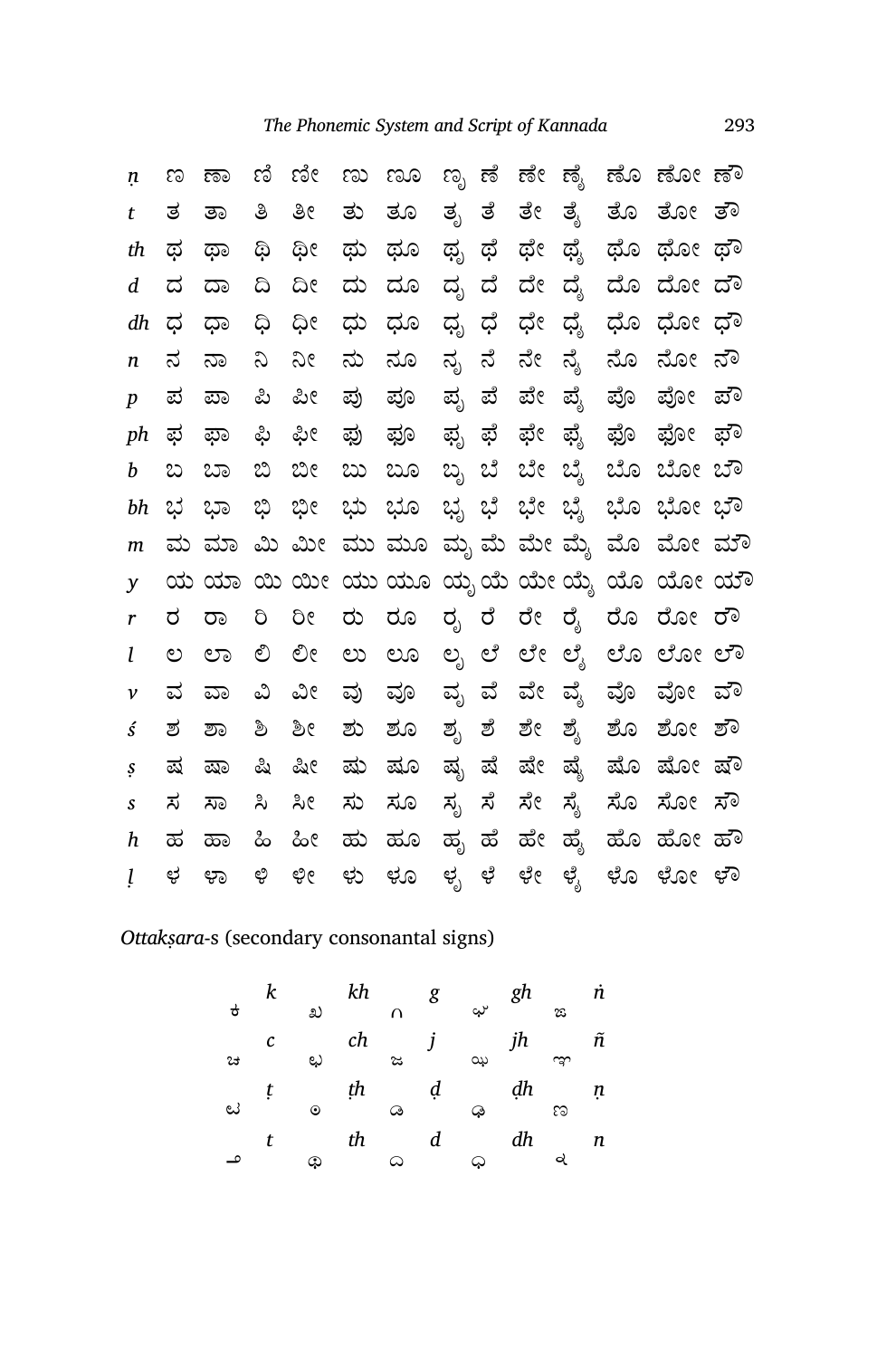| ņ                          | ಣ            |      |       |       |       | ಣಾ ಣಿ ಣೀ ಣು ಣೂ |        |    |    |       | ಣೃ ಣೆ ಣೇ ಣೈ ಣೊ ಣೋ ಣೌ                  |  |
|----------------------------|--------------|------|-------|-------|-------|----------------|--------|----|----|-------|---------------------------------------|--|
| t                          |              | ತ ತಾ | ತಿ    | ತೀ    |       | ತು ತೂ          |        |    |    |       | ತೃ ತೆ ತೇ ತೈ ತೊ ತೋ ತೌ                  |  |
| th                         | ಥ            | ಥಾ   | ශු    | ಥೀ    | ಥು ಥೂ |                | ಥೃ ಥೆ  |    |    |       | ಥೇ ಥೈ ಥೊ ಥೋ ಥೌ                        |  |
| d                          | ದ            | ದಾ   | ದಿ    | ದೀ    | ದು ದೂ |                | ದ್ಭ    | ದೆ | ದೇ |       | ದೈ ದೊ ದೋ ದೌ                           |  |
| dh                         | ಧ            | ಥಾ   | ಧಿ    | ಧೀ    | ಧು ಧೂ |                | ಧೃ     | ಧೆ | ಧೇ |       | ಧೈ ಧೊ ಧೋ ಧೌ                           |  |
| n                          | ನ            | ನಾ   | $\Im$ | $\Im$ | ನು ನೂ |                | ನ್ನ    | ನೆ |    |       | ನೇ ನೈ ನೊ ನೋ ನೌ                        |  |
| $\boldsymbol{p}$           | ಪ            | ಪಾ   | ಪಿ    | ಪೀ    |       | ಪು ಪೂ          | ಪ್ಸ    | ಪೆ | ಪೇ |       | ಪ್ಗೆ ಪೊ ಪೋ ಪೌ                         |  |
| ph                         | ಫ            | ಫಾ   | ಫಿ    | ಫೀ    |       | ಫು ಫೂ          | ಫೃ ಫೆ  |    |    |       | ಫೇ ಫೈ ಫೊ ಫೋ ಫೌ                        |  |
| b                          | ಬ            | ಬಾ   | ಬಿ ಬೀ |       |       | ಬು ಬೂ          |        |    |    |       | ಬೃ ಬೆ ಬೇ ಬೈ ಬೊ ಬೋ ಬೌ                  |  |
| bh                         | ಭ ಭಾ         |      | ಭಿ ಭೀ |       |       |                |        |    |    |       | ಭು ಭೂ ಭೃ ಭೆ ಭೇ ಭೈ ಭೊ ಭೋ ಭೌ            |  |
|                            |              |      |       |       |       |                |        |    |    |       |                                       |  |
| m                          |              |      |       |       |       |                |        |    |    |       | ಮ ಮಾ ಮಿ ಮೀ ಮು ಮೂ ಮೃ ಮೆ ಮೇ ಮೈ ಮೊ ಮೋ ಮೌ |  |
| y                          |              |      |       |       |       |                |        |    |    |       | ಯ ಯಾ ಯಿ ಯೀ ಯು ಯೂ ಯೃಯೆ ಯೇ ಯೈ ಯೊ ಯೋ ಯೌ  |  |
| r                          | ರ            | ರಾ   | ರಿ    | 9Ô    |       |                |        |    |    |       | ರು ರೂ ರೃ ರೆ ರೇ ರೈ ರೊ ರೋ ರೌ            |  |
| l                          | $\mathbb{C}$ | ಲಾ   | ಲಿ    | ಲೀ    |       |                |        |    |    |       | ಲು ಲೂ ಲೃಲೆ ಲೇಲೈ ಲೊಲೋಲೌ                |  |
| ν                          | ವ            | ವಾ   | ವಿ    | ವೀ    |       | ವು ವೂ          |        |    |    |       | ವೃ ವೆ ವೇ ವೈ ವೊ ವೋ ವೌ                  |  |
| ś                          | ಶ            | ಶಾ   | ಶಿ    | ಶೀ    |       | ಶು ಶೂ          | ಶೃ ಶೆ  |    |    | ಶೇ ಶೈ | ಶೊ ಶೋ ಶೌ                              |  |
| S                          | ಷ            | ಷಾ   | ಷಿ    | ಷೀ    | ಷು ಷೂ |                | ಷ್ಯ ಷೆ |    |    |       | ಷೇ ಷೈ ಷೊ ಷೋ ಷೌ                        |  |
| $\boldsymbol{\mathcal{S}}$ | ಸ            | ಸಾ   | ಸಿ    | ಸೀ    |       | ಸು ಸೂ          | ಸ್ಸ    | ಸೆ | ಸೇ | ಸ್ಯೆ  | ಸೊ ಸೋ ಸೌ                              |  |
| h                          | ಹ            | ಹಾ   | ಹಿ    | ಹೀ    | ಹು ಹೂ |                |        |    |    |       | ಹೃ ಹೆ ಹೇ ಹೈ ಹೊ ಹೋ ಹೌ                  |  |

## *Ottakṣara*‑s (secondary consonantal signs)

| ಕ | k |         | kh |   | g | ę,  | gh |    | 'n |
|---|---|---------|----|---|---|-----|----|----|----|
|   |   | ಖ       |    | ∩ |   |     |    | ಙ  |    |
|   | C |         | ch |   |   |     | jh |    | ñ  |
| ಚ |   | رچ      |    | ಜ |   | ىيە |    | ఞ  |    |
|   | t |         | ţh |   | ạ |     | ₫h |    | ņ  |
| ಟ |   | $\odot$ |    | ಢ |   | Q   |    | ಣ  |    |
|   | t |         | th |   | d |     | dh |    | n  |
| م |   | ඛ       |    | ω |   | ధు  |    | વે |    |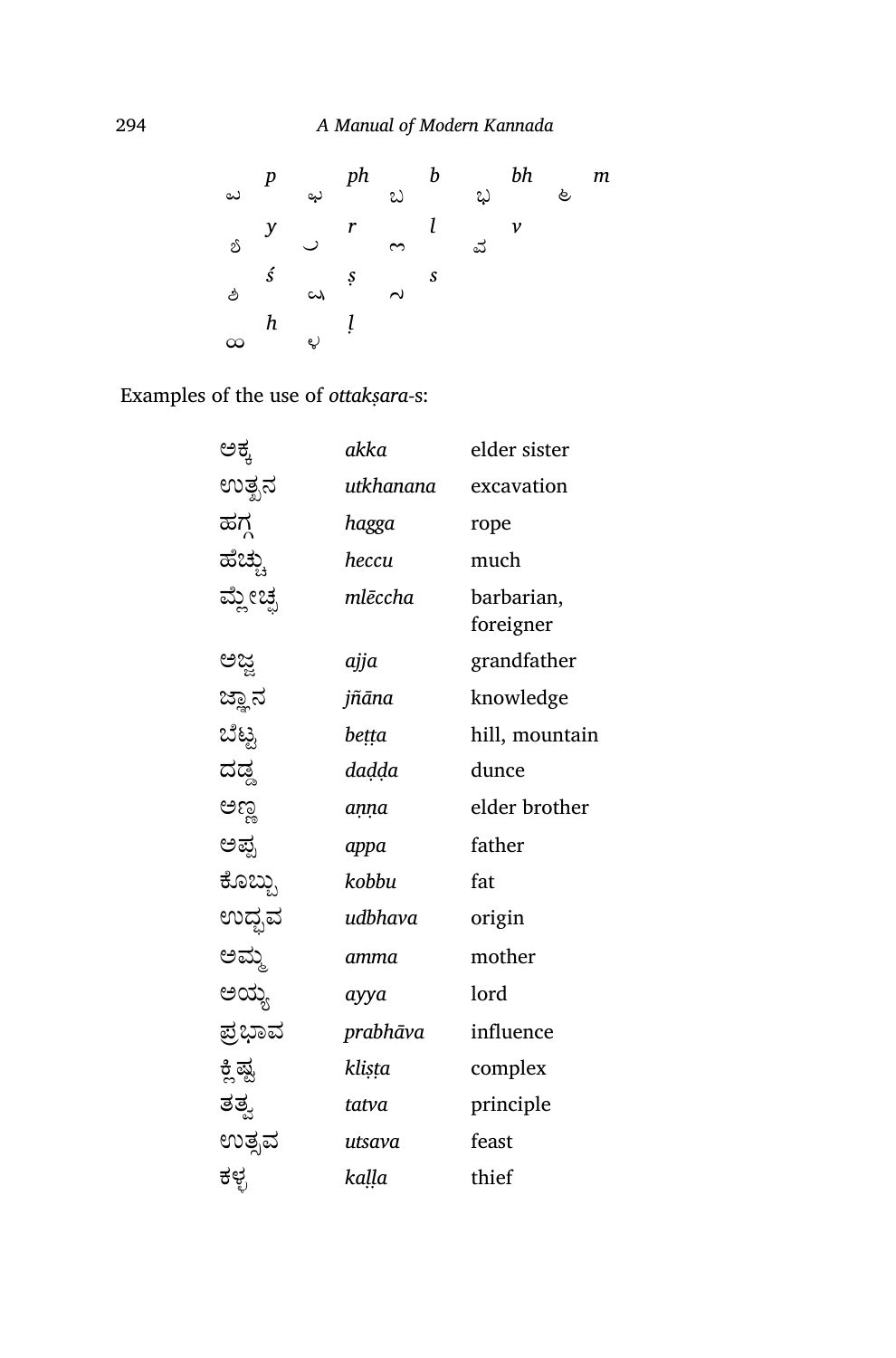| ಪ        |               |                                                      |                    |               | $p \rightarrow ph \rightarrow b$ | bh           | ළ | m |
|----------|---------------|------------------------------------------------------|--------------------|---------------|----------------------------------|--------------|---|---|
| బ్       |               | $\begin{array}{cc} y & r \\ & \bigcup & \end{array}$ | $\sim \frac{l}{l}$ |               | ವ                                | $\mathcal V$ |   |   |
|          | $\mathcal{S}$ | $\omega$ $\zeta$                                     |                    | $\mathcal{S}$ |                                  |              |   |   |
| $\infty$ | h             | $\epsilon$                                           |                    |               |                                  |              |   |   |
|          |               |                                                      |                    |               |                                  |              |   |   |

Examples of the use of *ottakṣara‑*s:

| ಅಕ್ಕ     | akka      | elder sister            |
|----------|-----------|-------------------------|
| ಉತ್ಖನ    | utkhanana | excavation              |
| ಹಗ್ಧ     | hagga     | rope                    |
| ಹೆಚ್ಚು   | heccu     | much                    |
| ಮ್ಲೇಚ್ಪ  | mlēccha   | barbarian,<br>foreigner |
| ಅಜ್ಜ     | ajja      | grandfather             |
| ಜ್ಞಾನ    | jñāna     | knowledge               |
| ಬೆಟ್ಸ    | betta     | hill, mountain          |
| ದಡ್ಡ     | daḍḍa     | dunce                   |
| ಅಣ್ಣ     | anna      | elder brother           |
| ಅಪ್ಪ     | appa      | father                  |
| ಕೊಬ್ಬು   | kobbu     | fat                     |
| ಉದ್ಭವ    | udbhava   | origin                  |
| ಅಮ್ಮ     | amma      | mother                  |
| ಅಯ್ಯ     | ayya      | lord                    |
| ಪ್ರಭಾವ   | prabhāva  | influence               |
| ಕ್ಲಿ ಷ್ಟ | klista    | complex                 |
| ತತ್ವ     | tatva     | principle               |
| ಉತ್ಸವ    | utsava    | feast                   |
| ಕಳ್ಳ     | kaḷḷa     | thief                   |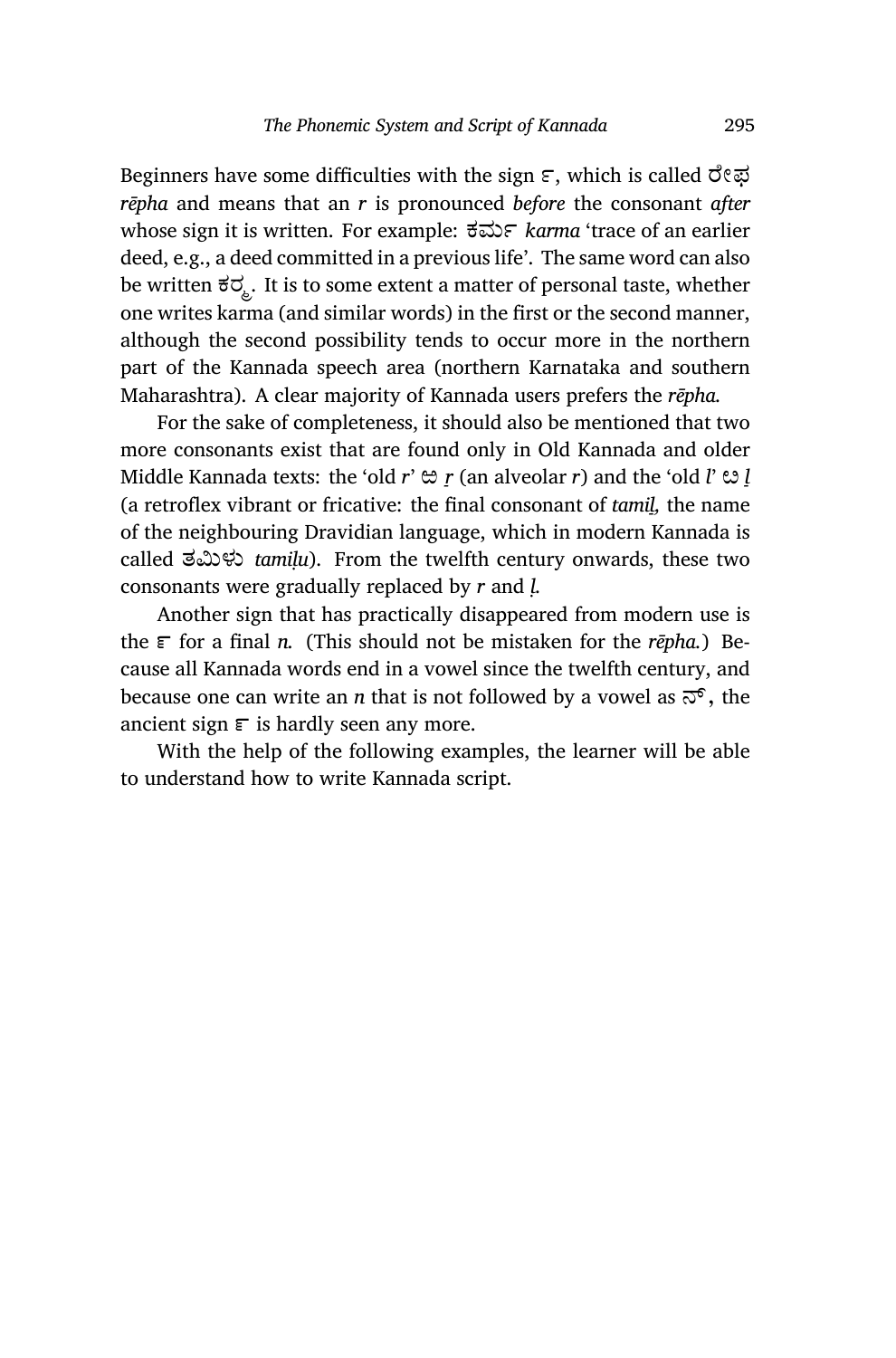Beginners have some difficulties with the sign  $\varepsilon$ , which is called  $\vec{\sigma}$ *rēpha* and means that an *r* is pronounced *before* the consonant *after* whose sign it is written. For example: ಕಮ *karma* 'trace of an earlier deed, e.g., a deed committed in a previous life'. The same word can also be written  $\vec{\sigma} \vec{\sigma}$ . It is to some extent a matter of personal taste, whether one writes karma (and similar words) in the first or the second manner, although the second possibility tends to occur more in the northern part of the Kannada speech area (northern Karnataka and southern Maharashtra). A clear majority of Kannada users prefers the *rēpha.*

For the sake of completeness, it should also be mentioned that two more consonants exist that are found only in Old Kannada and older Middle Kannada texts: the 'old *r*' ಱ *ṟ* (an alveolar *r*) and the 'old *l*' ೞ *ḻ* (a retroflex vibrant or fricative: the final consonant of *tamiḻ,* the name of the neighbouring Dravidian language, which in modern Kannada is called ತĢಳು *tamiḷu*). From the twelfth century onwards, these two consonants were gradually replaced by *r* and *ḷ.*

Another sign that has practically disappeared from modern use is the  $\epsilon$  for a final *n*. (This should not be mistaken for the *rēpha*.) Because all Kannada words end in a vowel since the twelfth century, and because one can write an *n* that is not followed by a vowel as  $\vec{\infty}$ , the ancient sign  $\epsilon$  is hardly seen any more.

With the help of the following examples, the learner will be able to understand how to write Kannada script.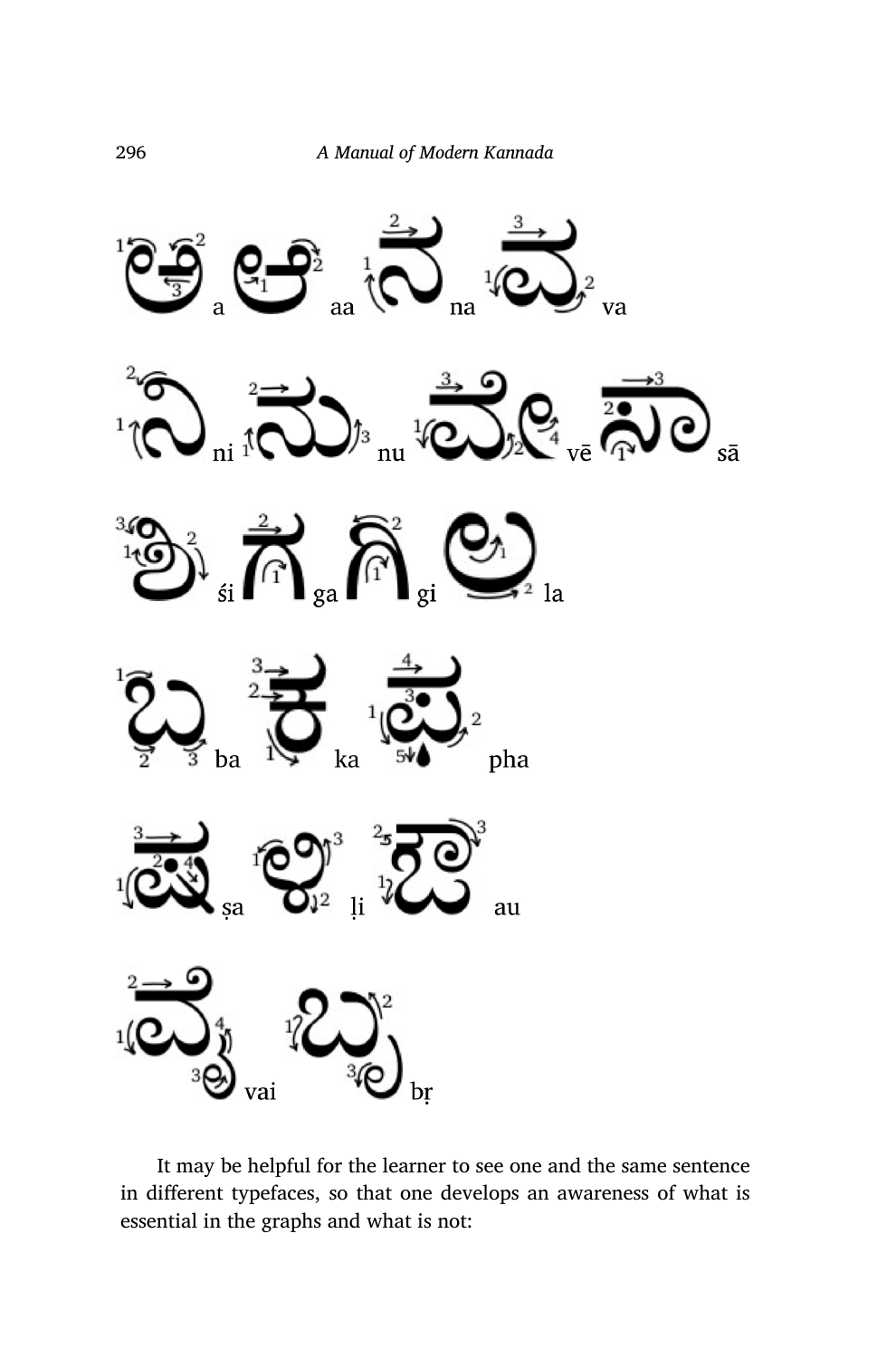

It may be helpful for the learner to see one and the same sentence in different typefaces, so that one develops an awareness of what is essential in the graphs and what is not: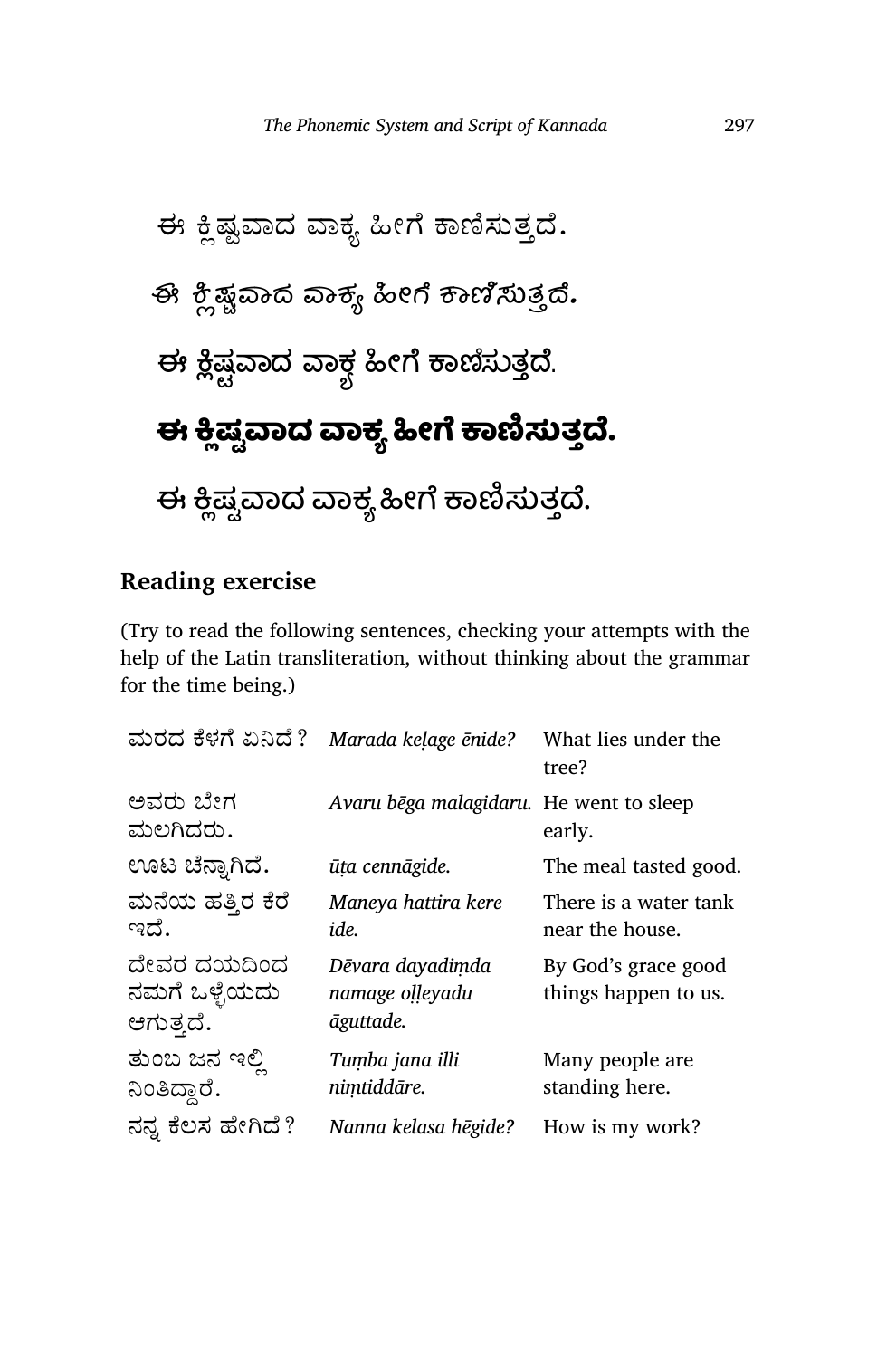

## **Reading exercise**

(Try to read the following sentences, checking your attempts with the help of the Latin transliteration, without thinking about the grammar for the time being.)

| ಮರದ ಕೆಳಗೆ ಏನಿದೆ?                          | Marada kelage ēnide?                             | What lies under the<br>tree?                |
|-------------------------------------------|--------------------------------------------------|---------------------------------------------|
| ಅವರು ಬೇಗ<br>ಮಲಗಿದರು.                      | Avaru bēga malagidaru. He went to sleep          | early.                                      |
| ಊಟ ಚೆನ್ನಾಗಿದೆ.                            | ūta cennāgide.                                   | The meal tasted good.                       |
| ಮನೆಯ ಹತ್ತಿರ ಕೆರೆ<br>ಇದೆ.                  | Maneya hattira kere<br>ide.                      | There is a water tank<br>near the house.    |
| ದೇವರ ದಯದಿಂದ<br>ನಮಗೆ ಒಳ್ಳೆಯದು<br>ಆಗುತ್ತದೆ. | Dēvara dayadimda<br>namage olleyadu<br>āguttade. | By God's grace good<br>things happen to us. |
| ತುಂಬ ಜನ ಇಲ್ಲಿ<br>ನಿಂತಿದ್ದಾರೆ.             | Tumba jana illi<br>nimtiddāre.                   | Many people are<br>standing here.           |
| ನನ್ನ ಕೆಲಸ ಹೇಗಿದೆ?                         | Nanna kelasa hēgide?                             | How is my work?                             |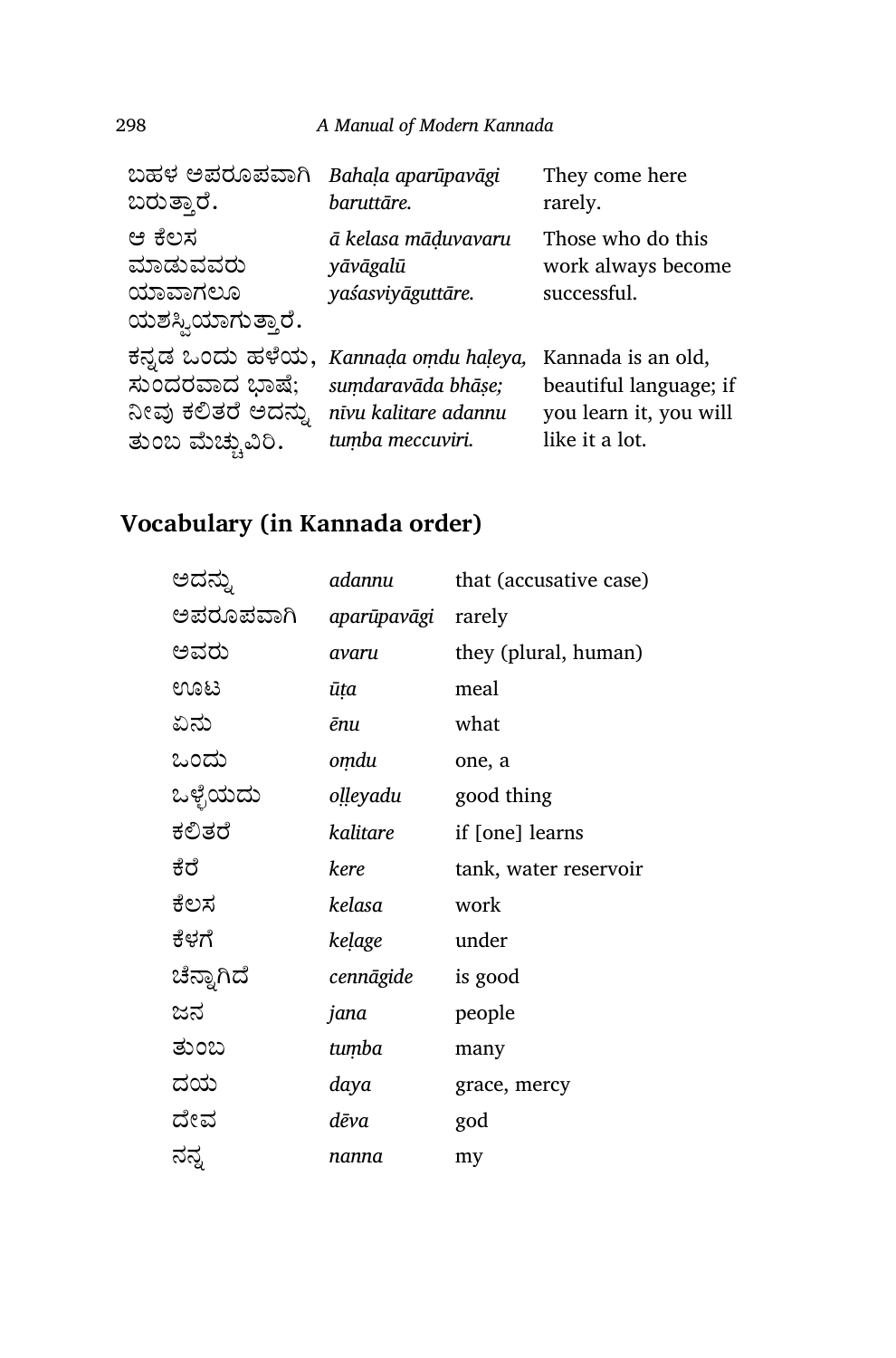298 *A Manual of Modern Kannada*

| ಬಹಳ ಅಪರೂಪವಾಗಿ                                      | Bahala aparūpavāgi                                   | They come here                                         |
|----------------------------------------------------|------------------------------------------------------|--------------------------------------------------------|
| ಬರುತ್ತಾರೆ.                                         | baruttāre.                                           | rarely.                                                |
| ಆ ಕೆಲಸ<br>ಮಾಡುವವರು<br>ಯಾವಾಗಲೂ<br>ಯಶಸ್ವಿಯಾಗುತ್ತಾರೆ. | ā kelasa māduvavaru<br>yāvāgalū<br>yaśasviyāguttāre. | Those who do this<br>work always become<br>successful. |
| ಕನ್ನಡ ಒಂದು ಹಳೆಯ,                                   | Kannada omdu haleya,                                 | Kannada is an old,                                     |
| ಸುಂದರವಾದ ಭಾಷೆ;                                     | sumdaravāda bhāse;                                   | beautiful language; if                                 |
| ನೀವು ಕಲಿತರೆ ಅದನ್ನು                                 | nīvu kalitare adannu                                 | you learn it, you will                                 |
| ತುಂಬ ಮೆಚ್ಚುವಿರಿ.                                   | tumba meccuviri.                                     | like it a lot.                                         |

## **Vocabulary (in Kannada order)**

| adannu      | that (accusative case) |
|-------------|------------------------|
| aparūpavāgi | rarely                 |
| avaru       | they (plural, human)   |
| ūța         | meal                   |
| ēnu         | what                   |
| omdu        | one, a                 |
| oḷḷeyadu    | good thing             |
| kalitare    | if [one] learns        |
| kere        | tank, water reservoir  |
| kelasa      | work                   |
| kelage      | under                  |
| cennāgide   | is good                |
| jana        | people                 |
| tumba       | many                   |
| daya        | grace, mercy           |
| dēva        | god                    |
| nanna       | my                     |
|             |                        |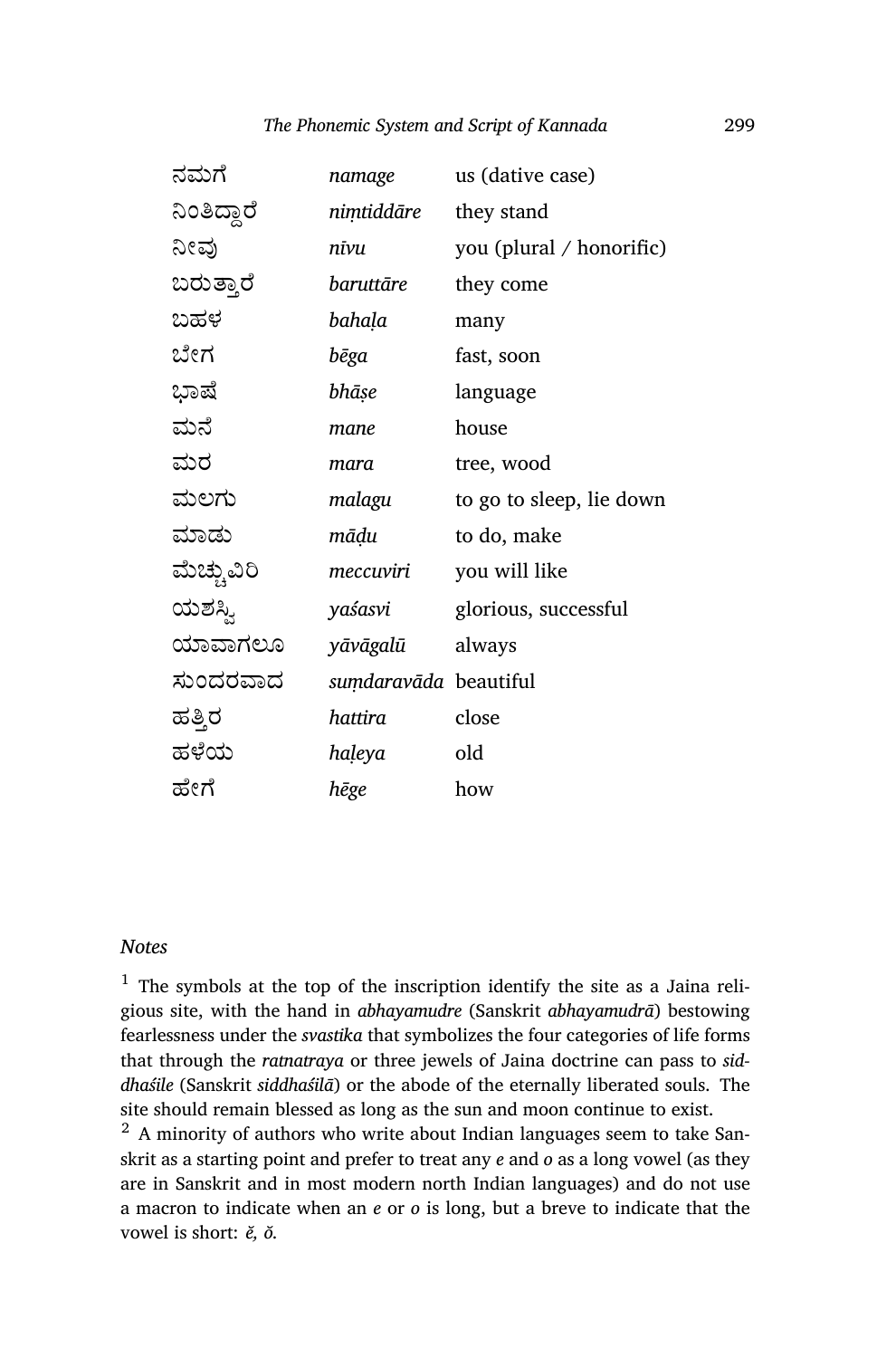| ನಮಗೆ        | namage                | us (dative case)         |
|-------------|-----------------------|--------------------------|
| ನಿಂತಿದ್ದಾರೆ | nimtiddāre            | they stand               |
| ನೀವು        | nīvu                  | you (plural / honorific) |
| ಬರುತ್ತಾರೆ   | baruttāre             | they come                |
| ಬಹಳ         | bahaḷa                | many                     |
| ಬೇಗ         | bēga                  | fast, soon               |
| ಭಾಷೆ        | bhāṣe                 | language                 |
| ಮನೆ         | mane                  | house                    |
| ಮರ          | mara                  | tree, wood               |
| ಮಲಗು        | malagu                | to go to sleep, lie down |
| ಮಾಡು        | māḍu                  | to do, make              |
| ಮೆಚ್ಚುವಿರಿ  | meccuviri             | you will like            |
| ಯಶಸ್ವಿ      | yaśasvi               | glorious, successful     |
| ಯಾವಾಗಲೂ     | yāvāgalū              | always                   |
| ಸುಂದರವಾದ    | sumdaravāda beautiful |                          |
| ಹತ್ತಿರ      | hattira               | close                    |
| ಹಳೆಯ        | haļeya                | old                      |
| ಹೇಗೆ        | hēge                  | how                      |

#### *Notes*

 $1$  The symbols at the top of the inscription identify the site as a Jaina religious site, with the hand in *abhayamudre* (Sanskrit *abhayamudrā*) bestowing fearlessness under the *svastika* that symbolizes the four categories of life forms that through the *ratnatraya* or three jewels of Jaina doctrine can pass to *siddhaśile* (Sanskrit *siddhaśilā*) or the abode of the eternally liberated souls. The site should remain blessed as long as the sun and moon continue to exist.

<sup>2</sup> A minority of authors who write about Indian languages seem to take Sanskrit as a starting point and prefer to treat any *e* and *o* as a long vowel (as they are in Sanskrit and in most modern north Indian languages) and do not use a macron to indicate when an *e* or *o* is long, but a breve to indicate that the vowel is short: *ĕ, ŏ.*